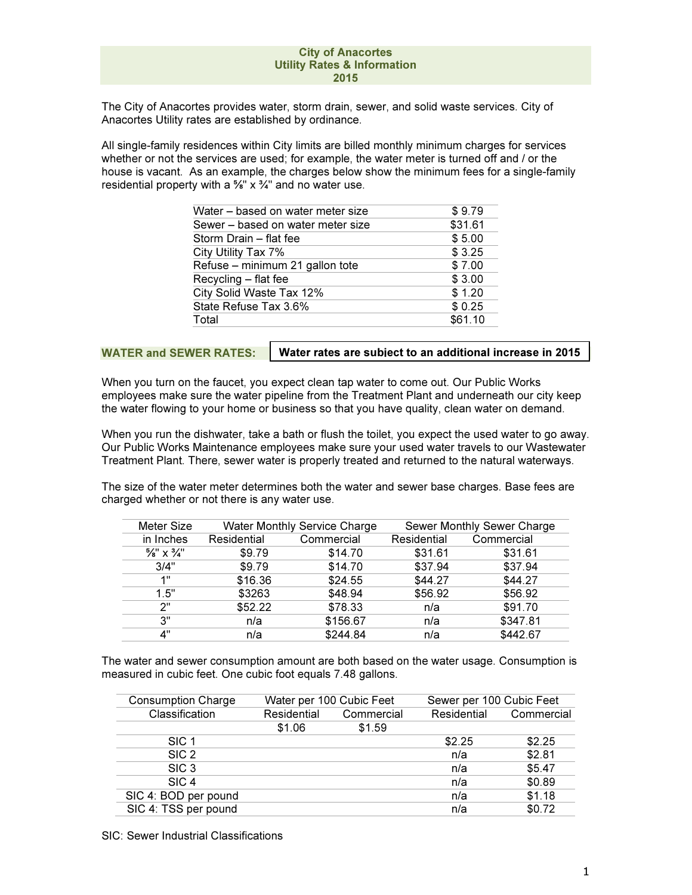The City of Anacortes provides water, storm drain, sewer, and solid waste services. City of Anacortes Utility rates are established by ordinance.

All single-family residences within City limits are billed monthly minimum charges for services whether or not the services are used; for example, the water meter is turned off and / or the house is vacant. As an example, the charges below show the minimum fees for a single-family residential property with a  $\frac{5}{8}$ " x  $\frac{3}{4}$ " and no water use.

| Water – based on water meter size | \$9.79  |
|-----------------------------------|---------|
| Sewer – based on water meter size | \$31.61 |
| Storm Drain - flat fee            | \$5.00  |
| City Utility Tax 7%               | \$3.25  |
| Refuse - minimum 21 gallon tote   | \$7.00  |
| Recycling - flat fee              | \$3.00  |
| City Solid Waste Tax 12%          | \$1.20  |
| State Refuse Tax 3.6%             | \$0.25  |
| Total                             | \$61.10 |

WATER and SEWER RATES:

Water rates are subject to an additional increase in 2015

When you turn on the faucet, you expect clean tap water to come out. Our Public Works employees make sure the water pipeline from the Treatment Plant and underneath our city keep the water flowing to your home or business so that you have quality, clean water on demand.

When you run the dishwater, take a bath or flush the toilet, you expect the used water to go away. Our Public Works Maintenance employees make sure your used water travels to our Wastewater Treatment Plant. There, sewer water is properly treated and returned to the natural waterways.

The size of the water meter determines both the water and sewer base charges. Base fees are charged whether or not there is any water use.

| <b>Meter Size</b>                 | <b>Water Monthly Service Charge</b> |            | Sewer Monthly Sewer Charge |            |
|-----------------------------------|-------------------------------------|------------|----------------------------|------------|
| in Inches                         | Residential                         | Commercial | Residential                | Commercial |
| $\frac{5}{8}$ " X $\frac{3}{4}$ " | \$9.79                              | \$14.70    | \$31.61                    | \$31.61    |
| 3/4"                              | \$9.79                              | \$14.70    | \$37.94                    | \$37.94    |
| 1"                                | \$16.36                             | \$24.55    | \$44.27                    | \$44.27    |
| 1.5"                              | \$3263                              | \$48.94    | \$56.92                    | \$56.92    |
| ን"                                | \$52.22                             | \$78.33    | n/a                        | \$91.70    |
| 3"                                | n/a                                 | \$156.67   | n/a                        | \$347.81   |
| 4"                                | n/a                                 | \$244.84   | n/a                        | \$442.67   |

The water and sewer consumption amount are both based on the water usage. Consumption is measured in cubic feet. One cubic foot equals 7.48 gallons.

| <b>Consumption Charge</b> | Water per 100 Cubic Feet |            | Sewer per 100 Cubic Feet |            |
|---------------------------|--------------------------|------------|--------------------------|------------|
| Classification            | Residential              | Commercial | Residential              | Commercial |
|                           | \$1.06                   | \$1.59     |                          |            |
| SIC <sub>1</sub>          |                          |            | \$2.25                   | \$2.25     |
| SIC <sub>2</sub>          |                          |            | n/a                      | \$2.81     |
| SIC <sub>3</sub>          |                          |            | n/a                      | \$5.47     |
| SIC <sub>4</sub>          |                          |            | n/a                      | \$0.89     |
| SIC 4: BOD per pound      |                          |            | n/a                      | \$1.18     |
| SIC 4: TSS per pound      |                          |            | n/a                      | \$0.72     |

SIC: Sewer Industrial Classifications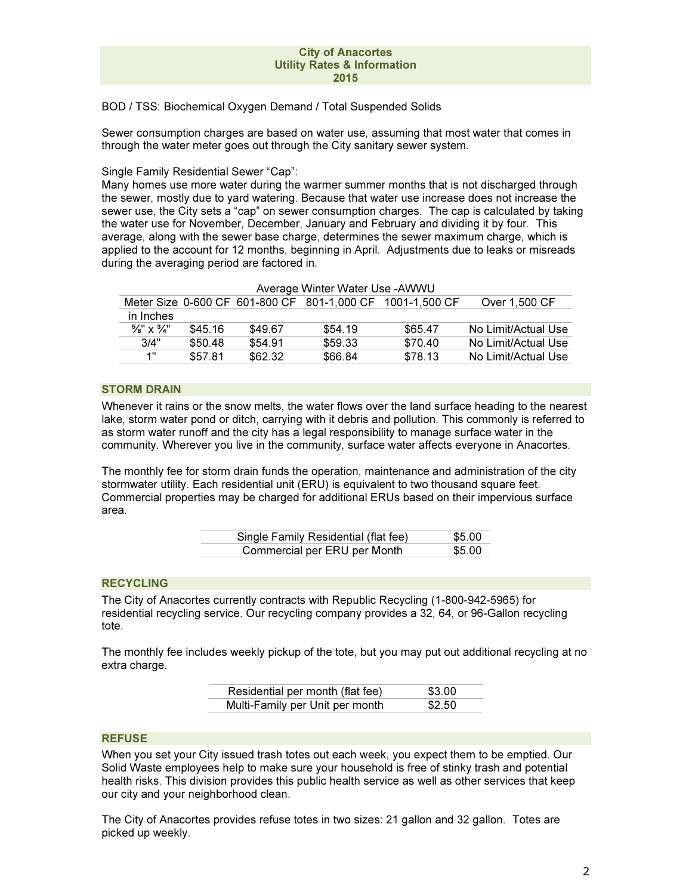BOD / TSS: Biochemical Oxygen Demand / Total Suspended Solids

Sewer consumption charges are based on water use, assuming that most water that comes in through the water meter goes out through the City sanitary sewer system.

Single Family Residential Sewer "Cap":

Many homes use more water during the warmer summer months that is not discharged through the sewer, mostly due to yard watering. Because that water use increase does not increase the sewer use, the City sets a "cap" on sewer consumption charges. The cap is calculated by taking the water use for November, December, January and February and dividing it by four. This average, along with the sewer base charge, determines the sewer maximum charge, which is applied to the account for 12 months, beginning in April. Adjustments due to leaks or misreads during the averaging period are factored in.

| Average Winter Water Use - AWWU   |         |         |         |                                                           |                     |
|-----------------------------------|---------|---------|---------|-----------------------------------------------------------|---------------------|
|                                   |         |         |         | Meter Size 0-600 CF 601-800 CF 801-1,000 CF 1001-1,500 CF | Over 1.500 CF       |
| in Inches                         |         |         |         |                                                           |                     |
| $\frac{5}{8}$ " x $\frac{3}{4}$ " | \$45.16 | \$49.67 | \$54.19 | \$65.47                                                   | No Limit/Actual Use |
| 3/4"                              | \$50.48 | \$54.91 | \$59.33 | \$70.40                                                   | No Limit/Actual Use |
| 1"                                | \$57.81 | \$62.32 | \$66.84 | \$78.13                                                   | No Limit/Actual Use |

 $\overline{AB}$   $\overline{B}$   $\overline{AB}$   $\overline{B}$   $\overline{B}$   $\overline{B}$   $\overline{B}$   $\overline{B}$   $\overline{B}$   $\overline{B}$   $\overline{B}$   $\overline{B}$   $\overline{B}$   $\overline{B}$   $\overline{B}$   $\overline{B}$   $\overline{B}$   $\overline{B}$   $\overline{B}$   $\overline{B}$   $\overline{B}$   $\overline{B}$   $\overline{B}$   $\overline{B}$   $\overline{$ 

#### STORM DRAIN

Whenever it rains or the snow melts, the water flows over the land surface heading to the nearest lake, storm water pond or ditch, carrying with it debris and pollution. This commonly is referred to as storm water runoff and the city has a legal responsibility to manage surface water in the community. Wherever you live in the community, surface water affects everyone in Anacortes.

The monthly fee for storm drain funds the operation, maintenance and administration of the city stormwater utility. Each residential unit (ERU) is equivalent to two thousand square feet. Commercial properties may be charged for additional ERUs based on their impervious surface area.

| Single Family Residential (flat fee) | \$5.00 |
|--------------------------------------|--------|
| Commercial per ERU per Month         | \$5.00 |

## **RECYCLING**

The City of Anacortes currently contracts with Republic Recycling (1-800-942-5965) for residential recycling service. Our recycling company provides a 32, 64, or 96-Gallon recycling tote.

The monthly fee includes weekly pickup of the tote, but you may put out additional recycling at no extra charge.

| Residential per month (flat fee) | \$3.00 |
|----------------------------------|--------|
| Multi-Family per Unit per month  | \$2.50 |

#### REFUSE

When you set your City issued trash totes out each week, you expect them to be emptied. Our Solid Waste employees help to make sure your household is free of stinky trash and potential health risks. This division provides this public health service as well as other services that keep our city and your neighborhood clean.

The City of Anacortes provides refuse totes in two sizes: 21 gallon and 32 gallon. Totes are picked up weekly.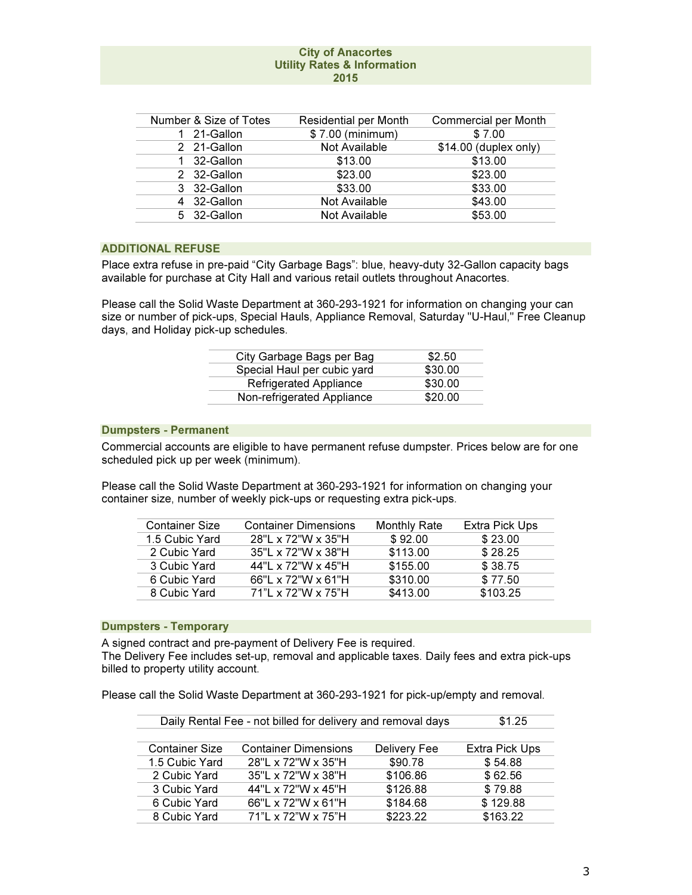| Number & Size of Totes | Residential per Month | <b>Commercial per Month</b> |  |
|------------------------|-----------------------|-----------------------------|--|
| 1 21-Gallon            | \$7.00 (minimum)      | \$7.00                      |  |
| 2 21-Gallon            | Not Available         | $$14.00$ (duplex only)      |  |
| 32-Gallon              | \$13.00               | \$13.00                     |  |
| 2 32-Gallon            | \$23.00               | \$23.00                     |  |
| 3 32-Gallon            | \$33.00               | \$33.00                     |  |
| 4 32-Gallon            | Not Available         | \$43.00                     |  |
| 5 32-Gallon            | Not Available         | \$53.00                     |  |

# ADDITIONAL REFUSE

Place extra refuse in pre-paid "City Garbage Bags": blue, heavy-duty 32-Gallon capacity bags available for purchase at City Hall and various retail outlets throughout Anacortes.

Please call the Solid Waste Department at 360-293-1921 for information on changing your can size or number of pick-ups, Special Hauls, Appliance Removal, Saturday "U-Haul," Free Cleanup days, and Holiday pick-up schedules.

| City Garbage Bags per Bag     | \$2.50  |
|-------------------------------|---------|
| Special Haul per cubic yard   | \$30.00 |
| <b>Refrigerated Appliance</b> | \$30.00 |
| Non-refrigerated Appliance    | \$20.00 |
|                               |         |

## Dumpsters - Permanent

Commercial accounts are eligible to have permanent refuse dumpster. Prices below are for one scheduled pick up per week (minimum).

Please call the Solid Waste Department at 360-293-1921 for information on changing your container size, number of weekly pick-ups or requesting extra pick-ups.

| <b>Container Dimensions</b> | <b>Monthly Rate</b> | <b>Extra Pick Ups</b> |
|-----------------------------|---------------------|-----------------------|
| 28"L x 72"W x 35"H          | \$92.00             | \$23.00               |
| 35"L x 72"W x 38"H          | \$113.00            | \$28.25               |
| 44"L x 72"W x 45"H          | \$155.00            | \$38.75               |
| 66"L x 72"W x 61"H          | \$310.00            | \$77.50               |
| 71"L x 72"W x 75"H          | \$413.00            | \$103.25              |
|                             |                     |                       |

#### Dumpsters - Temporary

A signed contract and pre-payment of Delivery Fee is required.

The Delivery Fee includes set-up, removal and applicable taxes. Daily fees and extra pick-ups billed to property utility account.

Please call the Solid Waste Department at 360-293-1921 for pick-up/empty and removal.

| Daily Rental Fee - not billed for delivery and removal days | \$1.25                      |              |                |
|-------------------------------------------------------------|-----------------------------|--------------|----------------|
|                                                             |                             |              |                |
| <b>Container Size</b>                                       | <b>Container Dimensions</b> | Delivery Fee | Extra Pick Ups |
| 1.5 Cubic Yard                                              | 28"L x 72"W x 35"H          | \$90.78      | \$54.88        |
| 2 Cubic Yard                                                | 35"L x 72"W x 38"H          | \$106.86     | \$62.56        |
| 3 Cubic Yard                                                | 44"L x 72"W x 45"H          | \$126.88     | \$79.88        |
| 6 Cubic Yard                                                | 66"L x 72"W x 61"H          | \$184.68     | \$129.88       |
| 8 Cubic Yard                                                | 71"L x 72"W x 75"H          | \$223.22     | \$163.22       |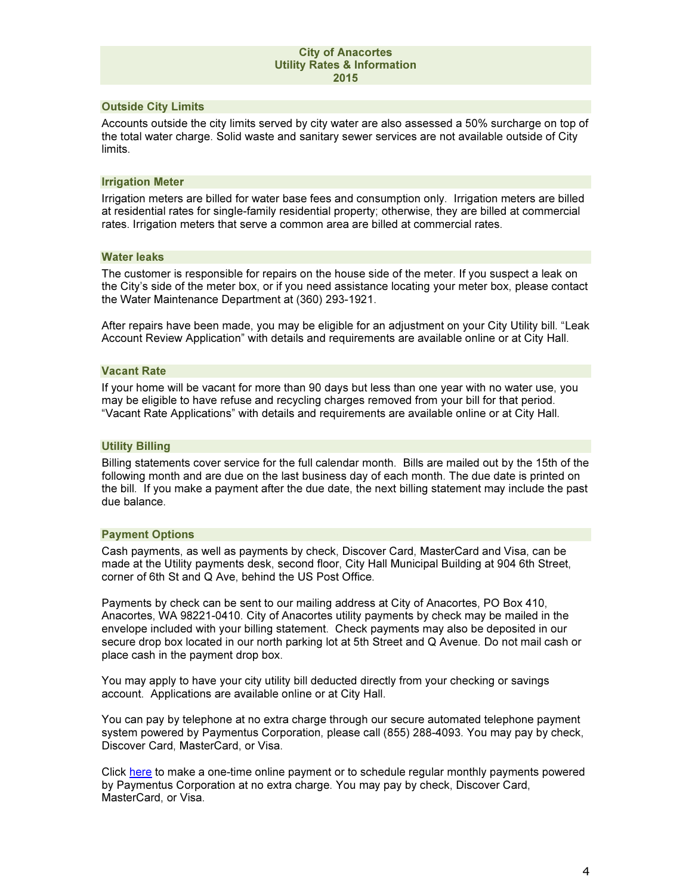## Outside City Limits

Accounts outside the city limits served by city water are also assessed a 50% surcharge on top of the total water charge. Solid waste and sanitary sewer services are not available outside of City limits.

## Irrigation Meter

Irrigation meters are billed for water base fees and consumption only. Irrigation meters are billed at residential rates for single-family residential property; otherwise, they are billed at commercial rates. Irrigation meters that serve a common area are billed at commercial rates.

### Water leaks

The customer is responsible for repairs on the house side of the meter. If you suspect a leak on the City's side of the meter box, or if you need assistance locating your meter box, please contact the Water Maintenance Department at (360) 293-1921.

After repairs have been made, you may be eligible for an adjustment on your City Utility bill. "Leak Account Review Application" with details and requirements are available online or at City Hall.

## Vacant Rate

If your home will be vacant for more than 90 days but less than one year with no water use, you may be eligible to have refuse and recycling charges removed from your bill for that period. "Vacant Rate Applications" with details and requirements are available online or at City Hall.

## Utility Billing

Billing statements cover service for the full calendar month. Bills are mailed out by the 15th of the following month and are due on the last business day of each month. The due date is printed on the bill. If you make a payment after the due date, the next billing statement may include the past due balance.

### Payment Options

Cash payments, as well as payments by check, Discover Card, MasterCard and Visa, can be made at the Utility payments desk, second floor, City Hall Municipal Building at 904 6th Street, corner of 6th St and Q Ave, behind the US Post Office.

Payments by check can be sent to our mailing address at City of Anacortes, PO Box 410, Anacortes, WA 98221-0410. City of Anacortes utility payments by check may be mailed in the envelope included with your billing statement. Check payments may also be deposited in our secure drop box located in our north parking lot at 5th Street and Q Avenue. Do not mail cash or place cash in the payment drop box.

You may apply to have your city utility bill deducted directly from your checking or savings account. Applications are available online or at City Hall.

You can pay by telephone at no extra charge through our secure automated telephone payment system powered by Paymentus Corporation, please call (855) 288-4093. You may pay by check, Discover Card, MasterCard, or Visa.

Click here to make a one-time online payment or to schedule regular monthly payments powered by Paymentus Corporation at no extra charge. You may pay by check, Discover Card, MasterCard, or Visa.